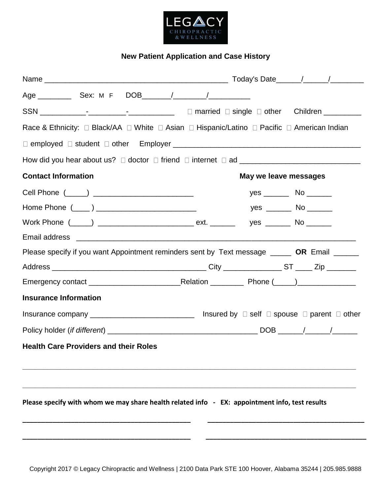

# **New Patient Application and Case History**

| Race & Ethnicity: □ Black/AA □ White □ Asian □ Hispanic/Latino □ Pacific □ American Indian     |  |                       |                                                                              |  |  |  |
|------------------------------------------------------------------------------------------------|--|-----------------------|------------------------------------------------------------------------------|--|--|--|
|                                                                                                |  |                       |                                                                              |  |  |  |
|                                                                                                |  |                       |                                                                              |  |  |  |
| <b>Contact Information</b>                                                                     |  | May we leave messages |                                                                              |  |  |  |
|                                                                                                |  |                       | yes $\rule{1em}{0.15mm}$ No $\rule{1.5mm}{0.15mm}$ No $\rule{1.5mm}{0.15mm}$ |  |  |  |
|                                                                                                |  |                       | yes ________ No _______                                                      |  |  |  |
|                                                                                                |  |                       |                                                                              |  |  |  |
|                                                                                                |  |                       |                                                                              |  |  |  |
| Please specify if you want Appointment reminders sent by Text message _____ OR Email _____     |  |                       |                                                                              |  |  |  |
|                                                                                                |  |                       |                                                                              |  |  |  |
|                                                                                                |  |                       |                                                                              |  |  |  |
| <b>Insurance Information</b>                                                                   |  |                       |                                                                              |  |  |  |
|                                                                                                |  |                       |                                                                              |  |  |  |
|                                                                                                |  |                       |                                                                              |  |  |  |
| <b>Health Care Providers and their Roles</b>                                                   |  |                       |                                                                              |  |  |  |
|                                                                                                |  |                       |                                                                              |  |  |  |
|                                                                                                |  |                       |                                                                              |  |  |  |
|                                                                                                |  |                       |                                                                              |  |  |  |
| Please specify with whom we may share health related info - EX: appointment info, test results |  |                       |                                                                              |  |  |  |
|                                                                                                |  |                       |                                                                              |  |  |  |
|                                                                                                |  |                       |                                                                              |  |  |  |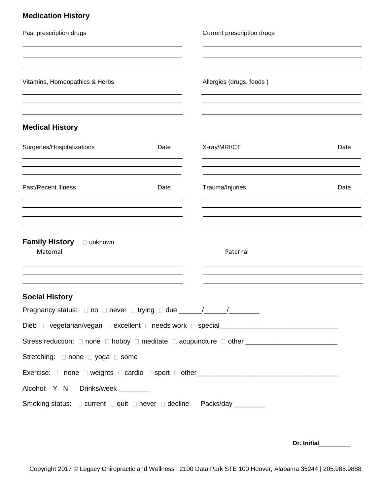| <b>Medication History</b> |  |
|---------------------------|--|
|---------------------------|--|

| Past prescription drugs                                                                                                                                                                                                           |      | Current prescription drugs |      |
|-----------------------------------------------------------------------------------------------------------------------------------------------------------------------------------------------------------------------------------|------|----------------------------|------|
| Vitamins, Homeopathics & Herbs                                                                                                                                                                                                    |      | Allergies (drugs, foods)   |      |
| <b>Medical History</b>                                                                                                                                                                                                            |      |                            |      |
| Surgeries/Hospitalizations                                                                                                                                                                                                        | Date | X-ray/MRI/CT               | Date |
| Past/Recent Illness                                                                                                                                                                                                               | Date | Trauma/Injuries            | Date |
| Family History Dunknown<br>Maternal                                                                                                                                                                                               |      | Paternal                   |      |
| <b>Social History</b>                                                                                                                                                                                                             |      |                            |      |
| Pregnancy status: □ no □ never □ trying □ due _____/____/_______________________<br>Stretching: □ none □ yoga □ some<br>Alcohol: Y N Drinks/week _______<br>Smoking status: □ current □ quit □ never □ decline Packs/day ________ |      |                            |      |

 **Dr. Initia**l\_\_\_\_\_\_\_\_\_